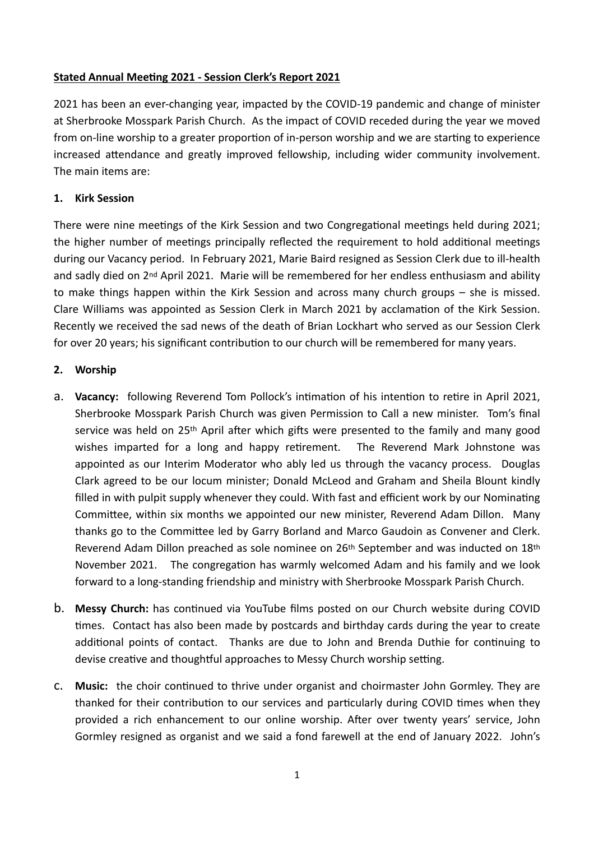# **Stated Annual Meeting 2021 - Session Clerk's Report 2021**

2021 has been an ever-changing year, impacted by the COVID-19 pandemic and change of minister at Sherbrooke Mosspark Parish Church. As the impact of COVID receded during the year we moved from on-line worship to a greater proportion of in-person worship and we are starting to experience increased attendance and greatly improved fellowship, including wider community involvement. The main items are:

### **1. Kirk Session**

There were nine meetings of the Kirk Session and two Congregational meetings held during 2021; the higher number of meetings principally reflected the requirement to hold additional meetings during our Vacancy period. In February 2021, Marie Baird resigned as Session Clerk due to ill-health and sadly died on 2<sup>nd</sup> April 2021. Marie will be remembered for her endless enthusiasm and ability to make things happen within the Kirk Session and across many church groups – she is missed. Clare Williams was appointed as Session Clerk in March 2021 by acclamation of the Kirk Session. Recently we received the sad news of the death of Brian Lockhart who served as our Session Clerk for over 20 years; his significant contribution to our church will be remembered for many years.

## **2. Worship**

- a. **Vacancy:** following Reverend Tom Pollock's intimation of his intention to retire in April 2021, Sherbrooke Mosspark Parish Church was given Permission to Call a new minister. Tom's final service was held on 25<sup>th</sup> April after which gifts were presented to the family and many good wishes imparted for a long and happy retirement. The Reverend Mark Johnstone was appointed as our Interim Moderator who ably led us through the vacancy process. Douglas Clark agreed to be our locum minister; Donald McLeod and Graham and Sheila Blount kindly filled in with pulpit supply whenever they could. With fast and efficient work by our Nominating Committee, within six months we appointed our new minister, Reverend Adam Dillon. Many thanks go to the Committee led by Garry Borland and Marco Gaudoin as Convener and Clerk. Reverend Adam Dillon preached as sole nominee on 26<sup>th</sup> September and was inducted on 18<sup>th</sup> November 2021. The congregation has warmly welcomed Adam and his family and we look forward to a long-standing friendship and ministry with Sherbrooke Mosspark Parish Church.
- b. **Messy Church:** has continued via YouTube films posted on our Church website during COVID times. Contact has also been made by postcards and birthday cards during the year to create additional points of contact. Thanks are due to John and Brenda Duthie for continuing to devise creative and thoughtful approaches to Messy Church worship setting.
- c. **Music:** the choir continued to thrive under organist and choirmaster John Gormley. They are thanked for their contribution to our services and particularly during COVID times when they provided a rich enhancement to our online worship. After over twenty years' service, John Gormley resigned as organist and we said a fond farewell at the end of January 2022. John's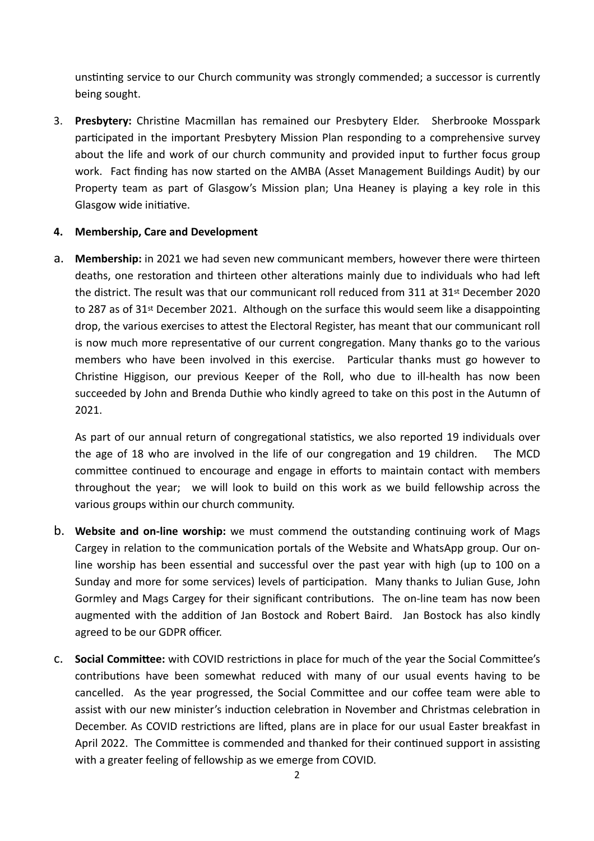unstinting service to our Church community was strongly commended; a successor is currently being sought.

3. **Presbytery:** Christine Macmillan has remained our Presbytery Elder. Sherbrooke Mosspark participated in the important Presbytery Mission Plan responding to a comprehensive survey about the life and work of our church community and provided input to further focus group work. Fact finding has now started on the AMBA (Asset Management Buildings Audit) by our Property team as part of Glasgow's Mission plan; Una Heaney is playing a key role in this Glasgow wide initiative.

## **4. Membership, Care and Development**

a. **Membership:** in 2021 we had seven new communicant members, however there were thirteen deaths, one restoration and thirteen other alterations mainly due to individuals who had left the district. The result was that our communicant roll reduced from 311 at 31st December 2020 to 287 as of 31st December 2021. Although on the surface this would seem like a disappointing drop, the various exercises to attest the Electoral Register, has meant that our communicant roll is now much more representative of our current congregation. Many thanks go to the various members who have been involved in this exercise. Particular thanks must go however to Christine Higgison, our previous Keeper of the Roll, who due to ill-health has now been succeeded by John and Brenda Duthie who kindly agreed to take on this post in the Autumn of 2021.

As part of our annual return of congregational statistics, we also reported 19 individuals over the age of 18 who are involved in the life of our congregation and 19 children. The MCD committee continued to encourage and engage in efforts to maintain contact with members throughout the year; we will look to build on this work as we build fellowship across the various groups within our church community.

- b. **Website and on-line worship:** we must commend the outstanding continuing work of Mags Cargey in relation to the communication portals of the Website and WhatsApp group. Our online worship has been essential and successful over the past year with high (up to 100 on a Sunday and more for some services) levels of participation. Many thanks to Julian Guse, John Gormley and Mags Cargey for their significant contributions. The on-line team has now been augmented with the addition of Jan Bostock and Robert Baird. Jan Bostock has also kindly agreed to be our GDPR officer.
- c. **Social Committee:** with COVID restrictions in place for much of the year the Social Committee's contributions have been somewhat reduced with many of our usual events having to be cancelled. As the year progressed, the Social Committee and our coffee team were able to assist with our new minister's induction celebration in November and Christmas celebration in December. As COVID restrictions are lifted, plans are in place for our usual Easter breakfast in April 2022. The Committee is commended and thanked for their continued support in assisting with a greater feeling of fellowship as we emerge from COVID.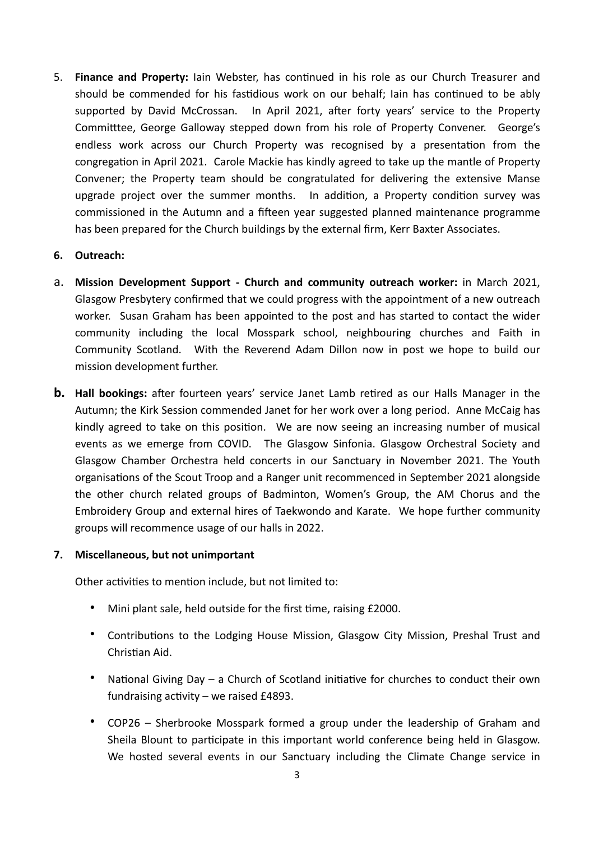5. **Finance and Property:** Iain Webster, has continued in his role as our Church Treasurer and should be commended for his fastidious work on our behalf; Iain has continued to be ably supported by David McCrossan. In April 2021, after forty years' service to the Property Committtee, George Galloway stepped down from his role of Property Convener.George's endless work across our Church Property was recognised by a presentation from the congregation in April 2021.Carole Mackie has kindly agreed to take up the mantle of Property Convener; the Property team should be congratulated for delivering the extensive Manse upgrade project over the summer months. In addition, a Property condition survey was commissioned in the Autumn and a fifteen year suggested planned maintenance programme has been prepared for the Church buildings by the external firm, Kerr Baxter Associates.

#### **6. Outreach:**

- a. **Mission Development Support Church and community outreach worker:** in March 2021, Glasgow Presbytery confirmed that we could progress with the appointment of a new outreach worker. Susan Graham has been appointed to the post and has started to contact the wider community including the local Mosspark school, neighbouring churches and Faith in Community Scotland. With the Reverend Adam Dillon now in post we hope to build our mission development further.
- **b. Hall bookings:** after fourteen years' service Janet Lamb retired as our Halls Manager in the Autumn; the Kirk Session commended Janet for her work over a long period. Anne McCaig has kindly agreed to take on this position. We are now seeing an increasing number of musical events as we emerge from COVID. The Glasgow Sinfonia. Glasgow Orchestral Society and Glasgow Chamber Orchestra held concerts in our Sanctuary in November 2021. The Youth organisations of the Scout Troop and a Ranger unit recommenced in September 2021 alongside the other church related groups of Badminton, Women's Group, the AM Chorus and the Embroidery Group and external hires of Taekwondo and Karate. We hope further community groups will recommence usage of our halls in 2022.

#### **7. Miscellaneous, but not unimportant**

Other activities to mention include, but not limited to:

- Mini plant sale, held outside for the first time, raising £2000.
- Contributions to the Lodging House Mission, Glasgow City Mission, Preshal Trust and Christian Aid.
- National Giving Day a Church of Scotland initiative for churches to conduct their own fundraising activity – we raised £4893.
- COP26 Sherbrooke Mosspark formed a group under the leadership of Graham and Sheila Blount to participate in this important world conference being held in Glasgow. We hosted several events in our Sanctuary including the Climate Change service in